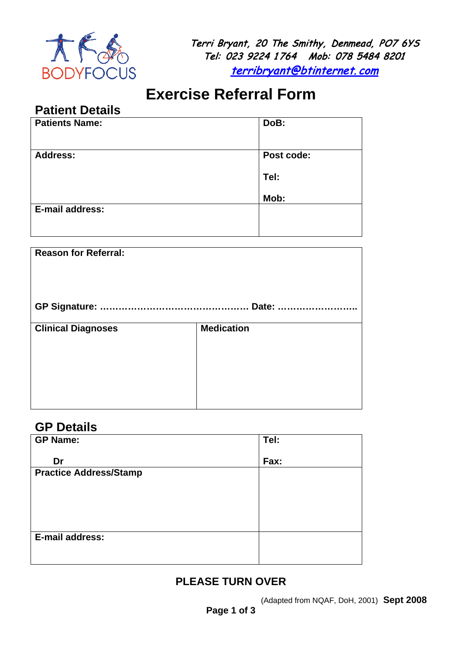

Terri Bryant, 20 The Smithy, Denmead, PO7 6YS Tel: 023 9224 1 764 Mob: 078 5484 8201 [terribryant@btinternet.](mailto:terribryant@btinternet.com) com

# **Exercise Referral Form**

### **Patient Details**

| <b>Patients Name:</b> | DoB:       |
|-----------------------|------------|
| <b>Address:</b>       | Post code: |
|                       | Tel:       |
|                       | Mob:       |
| E-mail address:       |            |
|                       |            |

| <b>Reason for Referral:</b> |                   |  |
|-----------------------------|-------------------|--|
|                             |                   |  |
| <b>Clinical Diagnoses</b>   | <b>Medication</b> |  |

#### **GP Details**

| <b>GP Name:</b>               | Tel: |
|-------------------------------|------|
| Dr                            | Fax: |
| <b>Practice Address/Stamp</b> |      |
|                               |      |
|                               |      |
|                               |      |
| E-mail address:               |      |
|                               |      |

#### **PLEASE TURN OVER**

(Adapted from NQAF, DoH, 2001) **Sept 2008**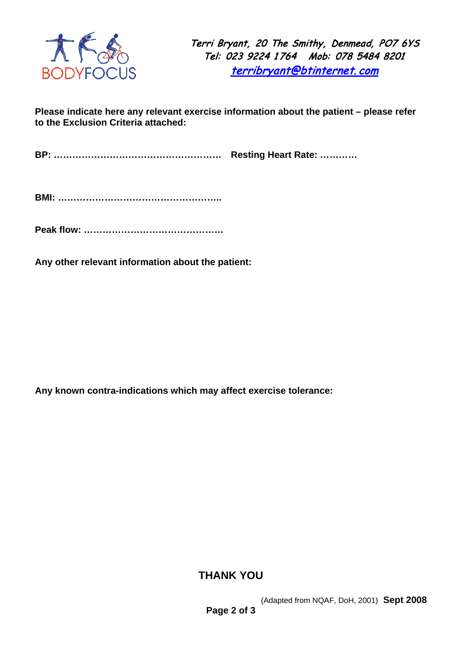

Terri Bryant, 20 The Smithy, Denmead, PO7 6YS Tel: 023 9224 1 764 Mob: 078 5484 8201 [terribryant@btinternet.](mailto:terribryant@btinternet.com) com

**Please indicate here any relevant exercise information about the patient – please refer to the Exclusion Criteria attached:**

**BP: ……………………………………………… Resting Heart Rate: …………**

**BMI: ……………………………………………..**

**Peak flow: ………………………………………**

**Any other relevant information about the patient:**

**Any known contra-indications which may affect exercise tolerance:** 

#### **THANK YOU**

(Adapted from NQAF, DoH, 2001) **Sept 2008**